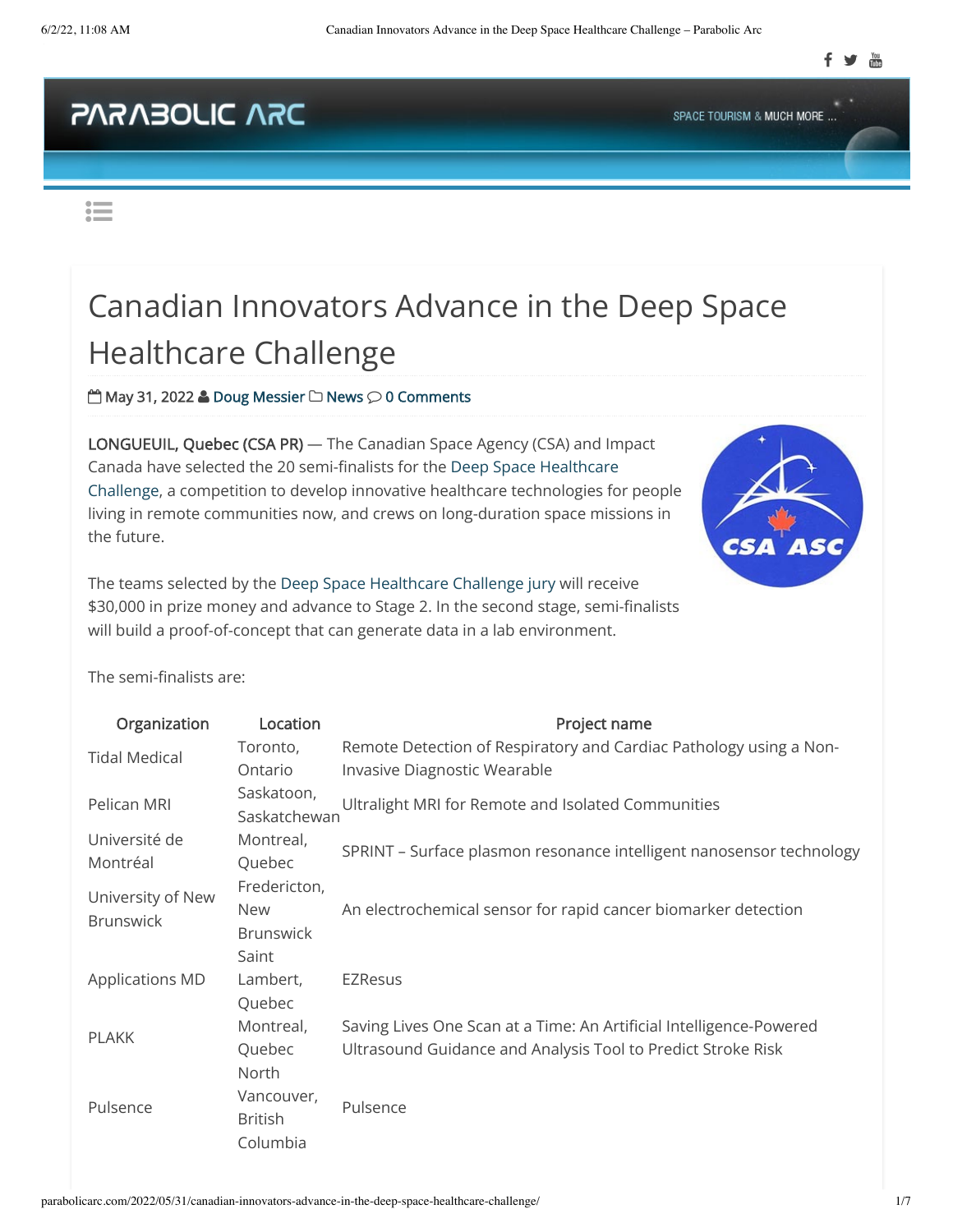## **CAN OIJOENRAS**

SPACE TOURISM & MUCH MORE ...

 $\mathrel{\mathop:}=$ 

## Canadian Innovators Advance in the Deep Space Healthcare Challenge

 $m$  May 31, 2022 **&** [Doug Messier](http://parabolicarc.com/author/doug/)  $\Box$  [News](http://parabolicarc.com/category/news/)  $\odot$  [0 Comments](#page--1-0)

LONGUEUIL, Quebec (CSA PR) — The Canadian Space Agency (CSA) and Impact [Canada have selected the 20 semi-finalists for the Deep Space Healthcare](https://asc-csa.gc.ca/eng/health/deep-space-healthcare-challenge.asp) Challenge, a competition to develop innovative healthcare technologies for people living in remote communities now, and crews on long-duration space missions in the future.





The semi-finalists are:

| Organization                          | Location                                                | Project name                                                                                                                        |
|---------------------------------------|---------------------------------------------------------|-------------------------------------------------------------------------------------------------------------------------------------|
| <b>Tidal Medical</b>                  | Toronto,<br>Ontario                                     | Remote Detection of Respiratory and Cardiac Pathology using a Non-<br>Invasive Diagnostic Wearable                                  |
| Pelican MRI                           | Saskatoon,<br>Saskatchewan                              | Ultralight MRI for Remote and Isolated Communities                                                                                  |
| Université de<br>Montréal             | Montreal,<br>Quebec                                     | SPRINT - Surface plasmon resonance intelligent nanosensor technology                                                                |
| University of New<br><b>Brunswick</b> | Fredericton,<br><b>New</b><br><b>Brunswick</b><br>Saint | An electrochemical sensor for rapid cancer biomarker detection                                                                      |
| <b>Applications MD</b>                | Lambert,<br>Quebec                                      | <b>EZResus</b>                                                                                                                      |
| <b>PLAKK</b>                          | Montreal,<br>Quebec                                     | Saving Lives One Scan at a Time: An Artificial Intelligence-Powered<br>Ultrasound Guidance and Analysis Tool to Predict Stroke Risk |
| Pulsence                              | North<br>Vancouver,<br><b>British</b><br>Columbia       | Pulsence                                                                                                                            |